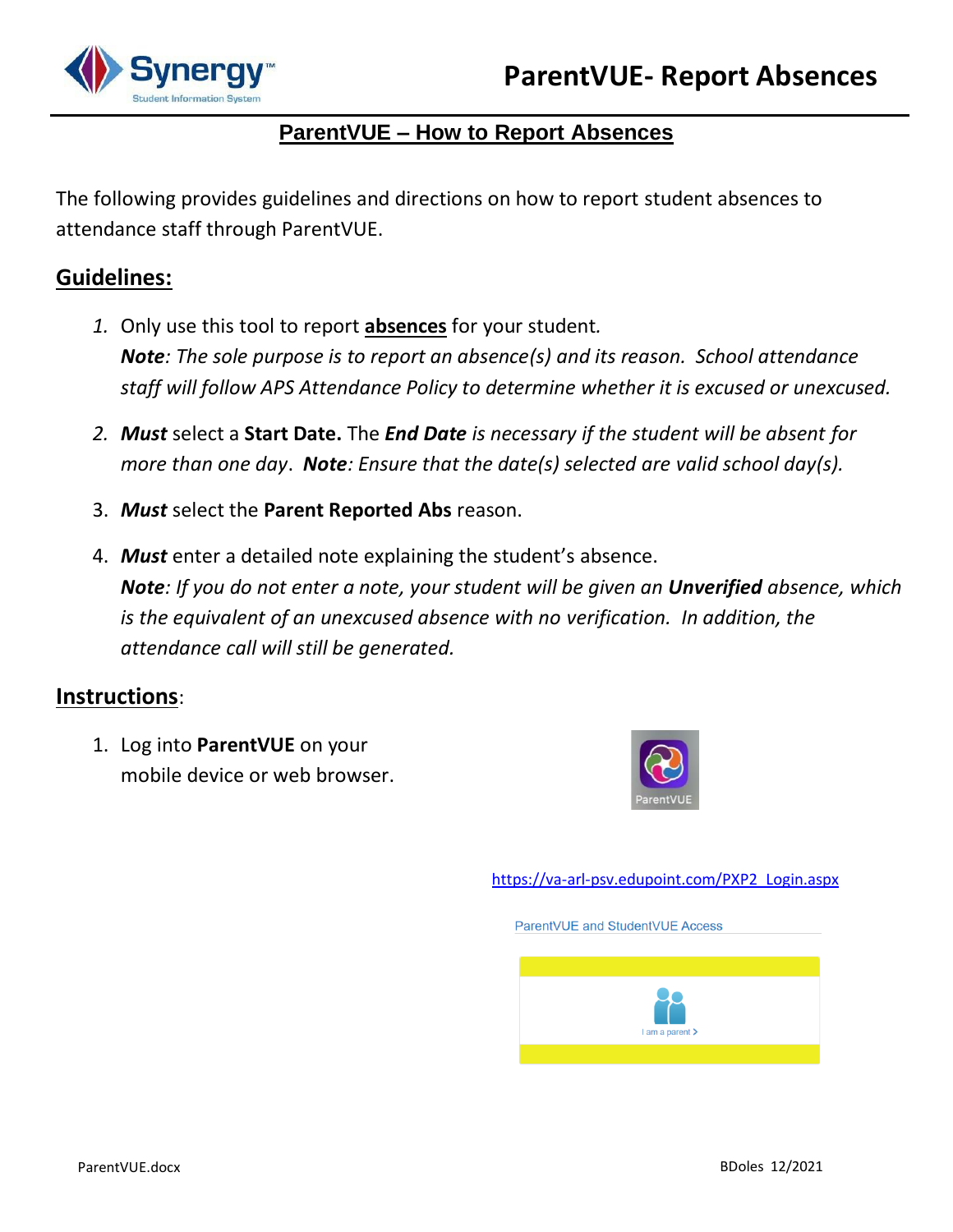

## **ParentVUE – How to Report Absences**

The following provides guidelines and directions on how to report student absences to attendance staff through ParentVUE.

## **Guidelines:**

- *1.* Only use this tool to report **absences** for your student*. Note: The sole purpose is to report an absence(s) and its reason. School attendance staff will follow APS Attendance Policy to determine whether it is excused or unexcused.*
- *2. Must* select a **Start Date.** The *End Date is necessary if the student will be absent for more than one day*. *Note: Ensure that the date(s) selected are valid school day(s).*
- 3. *Must* select the **Parent Reported Abs** reason.
- 4. *Must* enter a detailed note explaining the student's absence. *Note: If you do not enter a note, your student will be given an Unverified absence, which is the equivalent of an unexcused absence with no verification. In addition, the attendance call will still be generated.*

## **Instructions**:

1. Log into **ParentVUE** on your mobile device or web browser.



[https://va-arl-psv.edupoint.com/PXP2\\_Login.aspx](https://va-arl-psv.edupoint.com/PXP2_Login.aspx)

ParentVUE and StudentVUE Access